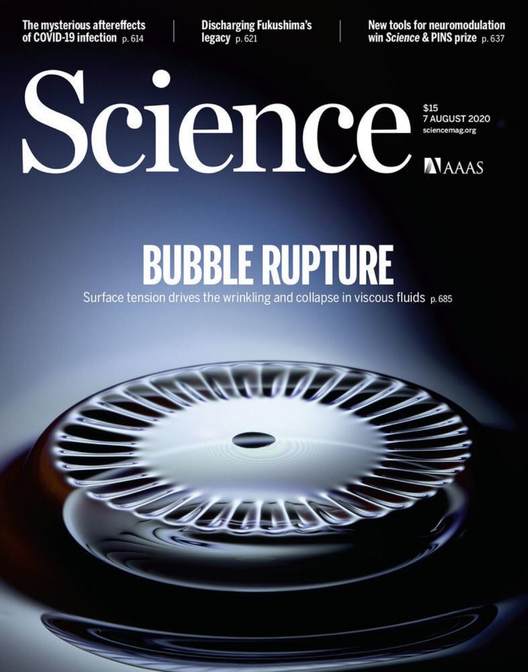The mysterious aftereffects of COVID-19 infection p. 614

**Discharging Fukushima's** legacy p. 621

New tools for neuromodulation win Science & PINS prize p. 637

# Science MAAAS **7 AUGUST 2020**

## **BUBBLE RUPTURE** Surface tension drives the wrinkling and collapse in viscous fluids p.685

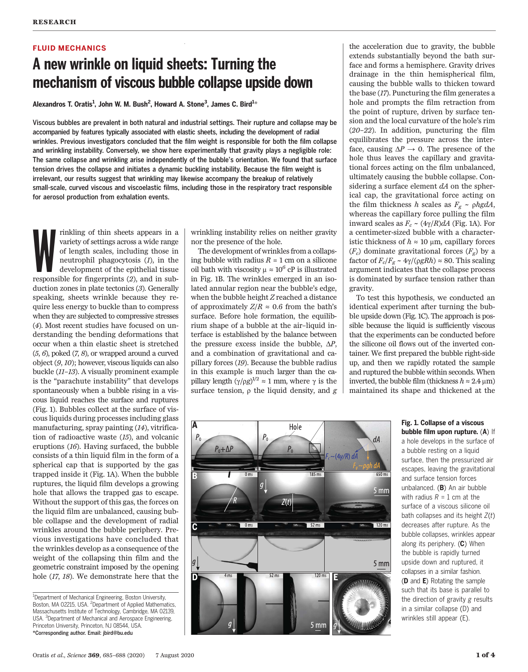#### FLUID MECHANICS

### A new wrinkle on liquid sheets: Turning the mechanism of viscous bubble collapse upside down

Alexandros T. Oratis<sup>1</sup>, John W. M. Bush<sup>2</sup>, Howard A. Stone<sup>3</sup>, James C. Bird<sup>1</sup>\*

Viscous bubbles are prevalent in both natural and industrial settings. Their rupture and collapse may be accompanied by features typically associated with elastic sheets, including the development of radial wrinkles. Previous investigators concluded that the film weight is responsible for both the film collapse and wrinkling instability. Conversely, we show here experimentally that gravity plays a negligible role: The same collapse and wrinkling arise independently of the bubble's orientation. We found that surface tension drives the collapse and initiates a dynamic buckling instability. Because the film weight is irrelevant, our results suggest that wrinkling may likewise accompany the breakup of relatively small-scale, curved viscous and viscoelastic films, including those in the respiratory tract responsible for aerosol production from exhalation events.

rinkling of thin sheets appears in a variety of settings across a wide range of length scales, including those in neutrophil phagocytosis (1), in the development of the epithelial tissue responsible for fingerprints (2), a rinkling of thin sheets appears in a variety of settings across a wide range of length scales, including those in neutrophil phagocytosis (1), in the development of the epithelial tissue duction zones in plate tectonics (3). Generally speaking, sheets wrinkle because they require less energy to buckle than to compress when they are subjected to compressive stresses (4). Most recent studies have focused on understanding the bending deformations that occur when a thin elastic sheet is stretched  $(5, 6)$ , poked  $(7, 8)$ , or wrapped around a curved object (9, 10); however, viscous liquids can also buckle (11–13). A visually prominent example is the "parachute instability" that develops spontaneously when a bubble rising in a viscous liquid reaches the surface and ruptures (Fig. 1). Bubbles collect at the surface of viscous liquids during processes including glass manufacturing, spray painting (14), vitrification of radioactive waste (15), and volcanic eruptions (16). Having surfaced, the bubble consists of a thin liquid film in the form of a spherical cap that is supported by the gas trapped inside it (Fig. 1A). When the bubble ruptures, the liquid film develops a growing hole that allows the trapped gas to escape. Without the support of this gas, the forces on the liquid film are unbalanced, causing bubble collapse and the development of radial wrinkles around the bubble periphery. Previous investigations have concluded that the wrinkles develop as a consequence of the weight of the collapsing thin film and the geometric constraint imposed by the opening hole (17, 18). We demonstrate here that the

wrinkling instability relies on neither gravity nor the presence of the hole.

The development of wrinkles from a collapsing bubble with radius  $R = 1$  cm on a silicone oil bath with viscosity  $\mu \approx 10^6$  cP is illustrated in Fig. 1B. The wrinkles emerged in an isolated annular region near the bubble's edge, when the bubble height Z reached a distance of approximately  $Z/R \approx 0.6$  from the bath's surface. Before hole formation, the equilibrium shape of a bubble at the air–liquid interface is established by the balance between the pressure excess inside the bubble,  $\Delta P$ , and a combination of gravitational and capillary forces (19). Because the bubble radius in this example is much larger than the capillary length  $(\gamma/\rho g)^{1/2} \approx 1$  mm, where  $\gamma$  is the surface tension to the liquid density and g surface tension,  $\rho$  the liquid density, and  $g$ 

the acceleration due to gravity, the bubble extends substantially beyond the bath surface and forms a hemisphere. Gravity drives drainage in the thin hemispherical film, causing the bubble walls to thicken toward the base (17). Puncturing the film generates a hole and prompts the film retraction from the point of rupture, driven by surface tension and the local curvature of the hole's rim (20–22). In addition, puncturing the film equilibrates the pressure across the interface, causing  $\Delta P \rightarrow 0$ . The presence of the hole thus leaves the capillary and gravitational forces acting on the film unbalanced, ultimately causing the bubble collapse. Considering a surface element  $dA$  on the spherical cap, the gravitational force acting on the film thickness h scales as  $F_g \sim \rho h g dA$ , whereas the capillary force pulling the film inward scales as  $F_c \sim (4\gamma/R)dA$  (Fig. 1A). For a centimeter-sized bubble with a characteristic thickness of  $h \approx 10 \text{ µm}$ , capillary forces  $(F_c)$  dominate gravitational forces  $(F_e)$  by a factor of  $F_c/F_g \sim 4\gamma/(\rho gRh) \approx 80$ . This scaling argument indicates that the collapse process is dominated by surface tension rather than gravity.

To test this hypothesis, we conducted an identical experiment after turning the bubble upside down (Fig. 1C). The approach is possible because the liquid is sufficiently viscous that the experiments can be conducted before the silicone oil flows out of the inverted container. We first prepared the bubble right-side up, and then we rapidly rotated the sample and ruptured the bubble within seconds. When inverted, the bubble film (thickness  $h \approx 2.4 \,\mu\text{m}$ ) maintained its shape and thickened at the



Fig. 1. Collapse of a viscous bubble film upon rupture. (A) If a hole develops in the surface of a bubble resting on a liquid surface, then the pressurized air escapes, leaving the gravitational and surface tension forces unbalanced. (B) An air bubble with radius  $R = 1$  cm at the surface of a viscous silicone oil bath collapses and its height Z(t) decreases after rupture. As the bubble collapses, wrinkles appear along its periphery. (C) When the bubble is rapidly turned upside down and ruptured, it collapses in a similar fashion. (D and E) Rotating the sample such that its base is parallel to the direction of gravity  $g$  results in a similar collapse (D) and wrinkles still appear (E).

<sup>&</sup>lt;sup>1</sup>Department of Mechanical Engineering, Boston University, Boston, MA 02215, USA. <sup>2</sup>Department of Applied Mathematics, Massachusetts Institute of Technology, Cambridge, MA 02139, USA. <sup>3</sup>Department of Mechanical and Aerospace Engineering, Princeton University, Princeton, NJ 08544, USA. \*Corresponding author. Email: jbird@bu.edu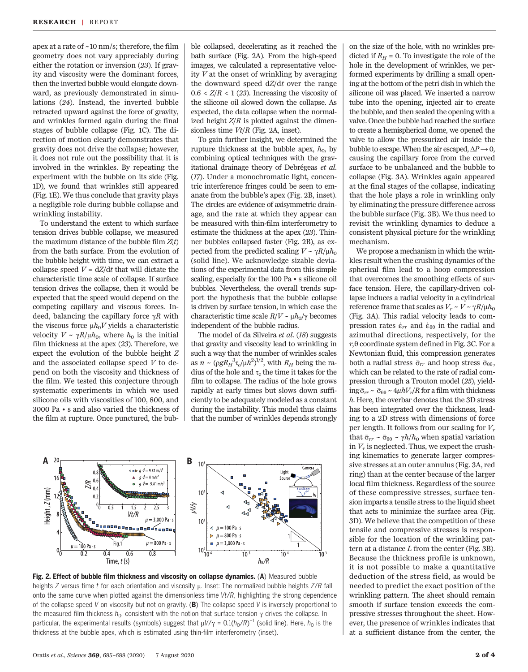apex at a rate of ~10 nm/s; therefore, the film geometry does not vary appreciably during either the rotation or inversion (23). If gravity and viscosity were the dominant forces, then the inverted bubble would elongate downward, as previously demonstrated in simulations (24). Instead, the inverted bubble retracted upward against the force of gravity, and wrinkles formed again during the final stages of bubble collapse (Fig. 1C). The direction of motion clearly demonstrates that gravity does not drive the collapse; however, it does not rule out the possibility that it is involved in the wrinkles. By repeating the experiment with the bubble on its side (Fig. 1D), we found that wrinkles still appeared (Fig. 1E). We thus conclude that gravity plays a negligible role during bubble collapse and wrinkling instability.

To understand the extent to which surface tension drives bubble collapse, we measured the maximum distance of the bubble film  $Z(t)$ from the bath surface. From the evolution of the bubble height with time, we can extract a collapse speed  $V = dZ/dt$  that will dictate the characteristic time scale of collapse. If surface tension drives the collapse, then it would be expected that the speed would depend on the competing capillary and viscous forces. Indeed, balancing the capillary force  $\gamma R$  with the viscous force  $\mu h_0 V$  yields a characteristic velocity  $V \sim \gamma R/\mu h_0$ , where  $h_0$  is the initial film thickness at the apex (23). Therefore, we expect the evolution of the bubble height Z and the associated collapse speed  $V$  to depend on both the viscosity and thickness of the film. We tested this conjecture through systematic experiments in which we used silicone oils with viscosities of 100, 800, and 3000 Pa • s and also varied the thickness of the film at rupture. Once punctured, the bub-

ble collapsed, decelerating as it reached the bath surface (Fig. 2A). From the high-speed images, we calculated a representative velocity  $V$  at the onset of wrinkling by averaging the downward speed  $dZ/dt$  over the range  $0.6 < Z/R < 1$  (23). Increasing the viscosity of the silicone oil slowed down the collapse. As expected, the data collapse when the normalized height  $Z/R$  is plotted against the dimensionless time  $Vt/R$  (Fig. 2A, inset).

To gain further insight, we determined the rupture thickness at the bubble apex,  $h_0$ , by combining optical techniques with the gravitational drainage theory of Debrégeas et al. (17). Under a monochromatic light, concentric interference fringes could be seen to emanate from the bubble's apex (Fig. 2B, inset). The circles are evidence of axisymmetric drainage, and the rate at which they appear can be measured with thin-film interferometry to estimate the thickness at the apex (23). Thinner bubbles collapsed faster (Fig. 2B), as expected from the predicted scaling  $V \sim \gamma R/\mu h_0$ (solid line). We acknowledge sizable deviations of the experimental data from this simple scaling, especially for the 100 Pa • s silicone oil bubbles. Nevertheless, the overall trends support the hypothesis that the bubble collapse is driven by surface tension, in which case the characteristic time scale  $R/V \sim \mu h_0/\gamma$  becomes independent of the bubble radius.

The model of da Silveira et al. (18) suggests that gravity and viscosity lead to wrinkling in such a way that the number of wrinkles scales as  $n \sim (\rho g R_H^3 \tau_c / \mu h^2)^{1/2}$ , with  $R_H$  being the ra-<br>dius of the bole and  $\tau$ , the time it takes for the dius of the hole and  $\tau_c$  the time it takes for the film to collapse. The radius of the hole grows rapidly at early times but slows down sufficiently to be adequately modeled as a constant during the instability. This model thus claims that the number of wrinkles depends strongly



Fig. 2. Effect of bubble film thickness and viscosity on collapse dynamics. (A) Measured bubble heights Z versus time t for each orientation and viscosity  $\mu$ . Inset: The normalized bubble heights Z/R fall onto the same curve when plotted against the dimensionless time Vt/R, highlighting the strong dependence of the collapse speed V on viscosity but not on gravity. (B) The collapse speed V is inversely proportional to the measured film thickness  $h_0$ , consistent with the notion that surface tension  $\gamma$  drives the collapse. In particular, the experimental results (symbols) suggest that  $\mu V/\gamma = 0.1(h_0/R)^{-1}$  (solid line). Here,  $h_0$  is the thickness at the bubble apex which is estimated using thin-film interferemetry (inset). thickness at the bubble apex, which is estimated using thin-film interferometry (inset).

on the size of the hole, with no wrinkles predicted if  $R_H = 0$ . To investigate the role of the hole in the development of wrinkles, we performed experiments by drilling a small opening at the bottom of the petri dish in which the silicone oil was placed. We inserted a narrow tube into the opening, injected air to create the bubble, and then sealed the opening with a valve. Once the bubble had reached the surface to create a hemispherical dome, we opened the valve to allow the pressurized air inside the bubble to escape. When the air escaped,  $\Delta P \rightarrow 0$ , causing the capillary force from the curved surface to be unbalanced and the bubble to collapse (Fig. 3A). Wrinkles again appeared at the final stages of the collapse, indicating that the hole plays a role in wrinkling only by eliminating the pressure difference across the bubble surface (Fig. 3B). We thus need to revisit the wrinkling dynamics to deduce a consistent physical picture for the wrinkling mechanism.

We propose a mechanism in which the wrinkles result when the crushing dynamics of the spherical film lead to a hoop compression that overcomes the smoothing effects of surface tension. Here, the capillary-driven collapse induces a radial velocity in a cylindrical reference frame that scales as  $V_r \sim V \sim \gamma R/\mu h_0$ (Fig. 3A). This radial velocity leads to compression rates  $\dot{\epsilon}_{rr}$  and  $\dot{\epsilon}_{\theta\theta}$  in the radial and<br>azimuthal directions respectively for the azimuthal directions, respectively, for the  $r,\theta$  coordinate system defined in Fig. 3C. For a Newtonian fluid, this compression generates both a radial stress  $\bar{\sigma}_{rr}$  and hoop stress  $\bar{\sigma}_{\theta\theta}$ , which can be related to the rate of radial compression through a Trouton model (25), yielding  $\bar{\sigma}_{rr} \sim \bar{\sigma}_{\theta\theta} \sim 4\mu hV_r/R$  for a film with thickness h. Here, the overbar denotes that the 3D stress has been integrated over the thickness, leading to a 2D stress with dimensions of force per length. It follows from our scaling for  $V_r$ that  $\bar{\sigma}_{rr} \sim \bar{\sigma}_{\theta\theta} \sim \gamma h/h_0$  when spatial variation in  $V_r$  is neglected. Thus, we expect the crushing kinematics to generate larger compressive stresses at an outer annulus (Fig. 3A, red ring) than at the center because of the larger local film thickness. Regardless of the source of these compressive stresses, surface tension imparts a tensile stress to the liquid sheet that acts to minimize the surface area (Fig. 3D). We believe that the competition of these tensile and compressive stresses is responsible for the location of the wrinkling pattern at a distance  $L$  from the center (Fig. 3B). Because the thickness profile is unknown, it is not possible to make a quantitative deduction of the stress field, as would be needed to predict the exact position of the wrinkling pattern. The sheet should remain smooth if surface tension exceeds the compressive stresses throughout the sheet. However, the presence of wrinkles indicates that at a sufficient distance from the center, the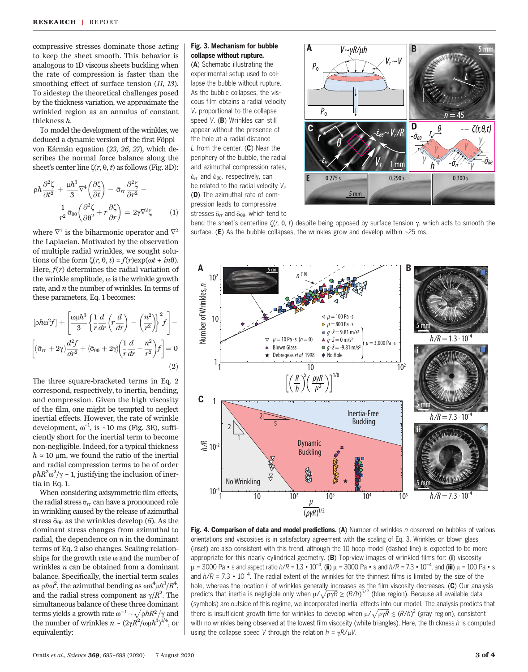compressive stresses dominate those acting to keep the sheet smooth. This behavior is analogous to 1D viscous sheets buckling when the rate of compression is faster than the smoothing effect of surface tension (11, 13). To sidestep the theoretical challenges posed by the thickness variation, we approximate the wrinkled region as an annulus of constant thickness h.

To model the development of the wrinkles, we deduced a dynamic version of the first Föppl– von Kármán equation (23, 26, 27), which describes the normal force balance along the sheet's center line  $\zeta(r, \theta, t)$  as follows (Fig. 3D):

$$
\rho h \frac{\partial^2 \zeta}{\partial t^2} + \frac{\mu h^3}{3} \nabla^4 \left( \frac{\partial \zeta}{\partial t} \right) - \bar{\sigma}_{rr} \frac{\partial^2 \zeta}{\partial r^2} - \frac{1}{r^2} \bar{\sigma}_{\theta\theta} \left( \frac{\partial^2 \zeta}{\partial \theta^2} + r \frac{\partial \zeta}{\partial r} \right) = 2\gamma \nabla^2 \zeta \tag{1}
$$

where  $\nabla^4$  is the biharmonic operator and  $\nabla^2$ the Laplacian. Motivated by the observation of multiple radial wrinkles, we sought solutions of the form  $\zeta(r, \theta, t) = f(r) \exp(\omega t + in\theta)$ . Here,  $f(r)$  determines the radial variation of the wrinkle amplitude,  $\omega$  is the wrinkle growth rate, and  $n$  the number of wrinkles. In terms of these parameters, Eq. 1 becomes:

$$
[\rho h \omega^2 f] + \left[ \frac{\omega \mu h^3}{3} \left\{ \frac{1}{r} \frac{d}{dr} \left( r \frac{d}{dr} \right) - \left( \frac{n^2}{r^2} \right) \right\}^2 f \right] - \n\left[ (\bar{\sigma}_{rr} + 2\gamma) \frac{d^2 f}{dr^2} + (\bar{\sigma}_{\theta\theta} + 2\gamma) \left( \frac{1}{r} \frac{d}{dr} - \frac{n^2}{r^2} \right) f \right] = 0
$$
\n(2)

The three square-bracketed terms in Eq. 2 correspond, respectively, to inertia, bending, and compression. Given the high viscosity of the film, one might be tempted to neglect inertial effects. However, the rate of wrinkle development,  $\omega^{-1}$ , is  $\sim 10$  ms (Fig. 3E), suffi-<br>ciently short for the inertial term to become ciently short for the inertial term to become non-negligible. Indeed, for a typical thickness  $h \approx 10 \mu$ m, we found the ratio of the inertial and radial compression terms to be of order  $\rho h R^2 \omega^2 / \gamma \sim 1$ , justifying the inclusion of inertia in Eq. 1.

When considering axisymmetric film effects, the radial stress  $\bar{\sigma}_{rr}$  can have a pronounced role in wrinkling caused by the release of azimuthal stress  $\bar{\sigma}_{\theta\theta}$  as the wrinkles develop (6). As the dominant stress changes from azimuthal to radial, the dependence on  $n$  in the dominant terms of Eq. 2 also changes. Scaling relationships for the growth rate  $\omega$  and the number of wrinkles  $n$  can be obtained from a dominant balance. Specifically, the inertial term scales as  $\rho h \omega^2$ , the azimuthal bending as  $\omega n^4 \mu h^3 / R^4$ ,<br>and the radial stress component as  $\frac{\chi}{R^2}$ . The and the radial stress component as  $\gamma/R^2$ . The simultaneous balance of these three dominant simultaneous balance of these three dominant terms yields a growth rate  $\omega^{-1}$   $\sim$ <br>the number of wrinkles  $n \sim (2\gamma)$  $\sqrt{\rho hR^2/\gamma}$  and<br> $R^2/\omega h^{3}\lambda^{1/4}$  or the number of wrinkles  $n \sim (2\gamma R^2/\omega \mu h^3)^{1/4}$ , or equivalently:

#### Fig. 3. Mechanism for bubble collapse without rupture.

(A) Schematic illustrating the experimental setup used to collapse the bubble without rupture. As the bubble collapses, the viscous film obtains a radial velocity  $V_r$  proportional to the collapse speed V. (B) Wrinkles can still appear without the presence of the hole at a radial distance L from the center.  $(C)$  Near the periphery of the bubble, the radial and azimuthal compression rates, be related to the radial velocity  $V_r$ .  $\dot{\epsilon}_{rr}$  and  $\dot{\epsilon}_{\theta\theta}$ , respectively, can<br>as related to the radial veloci (D) The azimuthal rate of compression leads to compressive stresses  $\bar{\sigma}_{rr}$  and  $\bar{\sigma}_{\theta\theta}$ , which tend to



bend the sheet's centerline  $\zeta(r, \theta, t)$  despite being opposed by surface tension  $\gamma$ , which acts to smooth the surface. (E) As the bubble collapses, the wrinkles grow and develop within  $\sim$ 25 ms.



Fig. 4. Comparison of data and model predictions. (A) Number of wrinkles n observed on bubbles of various orientations and viscosities is in satisfactory agreement with the scaling of Eq. 3. Wrinkles on blown glass (inset) are also consistent with this trend, although the 1D hoop model (dashed line) is expected to be more appropriate for this nearly cylindrical geometry.  $(B)$  Top-view images of wrinkled films for: (i) viscosity  $\mu$  = 3000 Pa • s and aspect ratio  $h/R = 1.3 \cdot 10^{-4}$ , (ii)  $\mu$  = 3000 Pa • s and  $h/R = 7.3 \cdot 10^{-4}$ , and (iii)  $\mu$  = 100 Pa • s<br>and  $h/R = 7.3 \cdot 10^{-4}$ . The radial extent of the wript less for the thinnest films is limite and h/R = 7.3  $\cdot$  10<sup>-4</sup>. The radial extent of the wrinkles for the thinnest films is limited by the size of the hole, whereas the location L of wrinkles generally increases as the film viscosity decreases. (C) Our analysis predicts that inertia is negligible only when  $\mu/\sqrt{\rho\gamma R} \gtrsim (R/h)^{5/2}$  (blue region). Because all available data (symbols) are outside of this regime, we incorporated inertial effects into our model. The analysis predicts that there is insufficient growth time for wrinkles to develop when  $\mu/\sqrt{\rho\gamma R} \leq (R/h)^2$  (gray region), consistent with no wrinkles being observed at the lowest film visoscity (white triangles). Here, the thickness h is comput with no wrinkles being observed at the lowest film viscosity (white triangles). Here, the thickness h is computed using the collapse speed V through the relation  $h = \gamma R/\mu V$ .